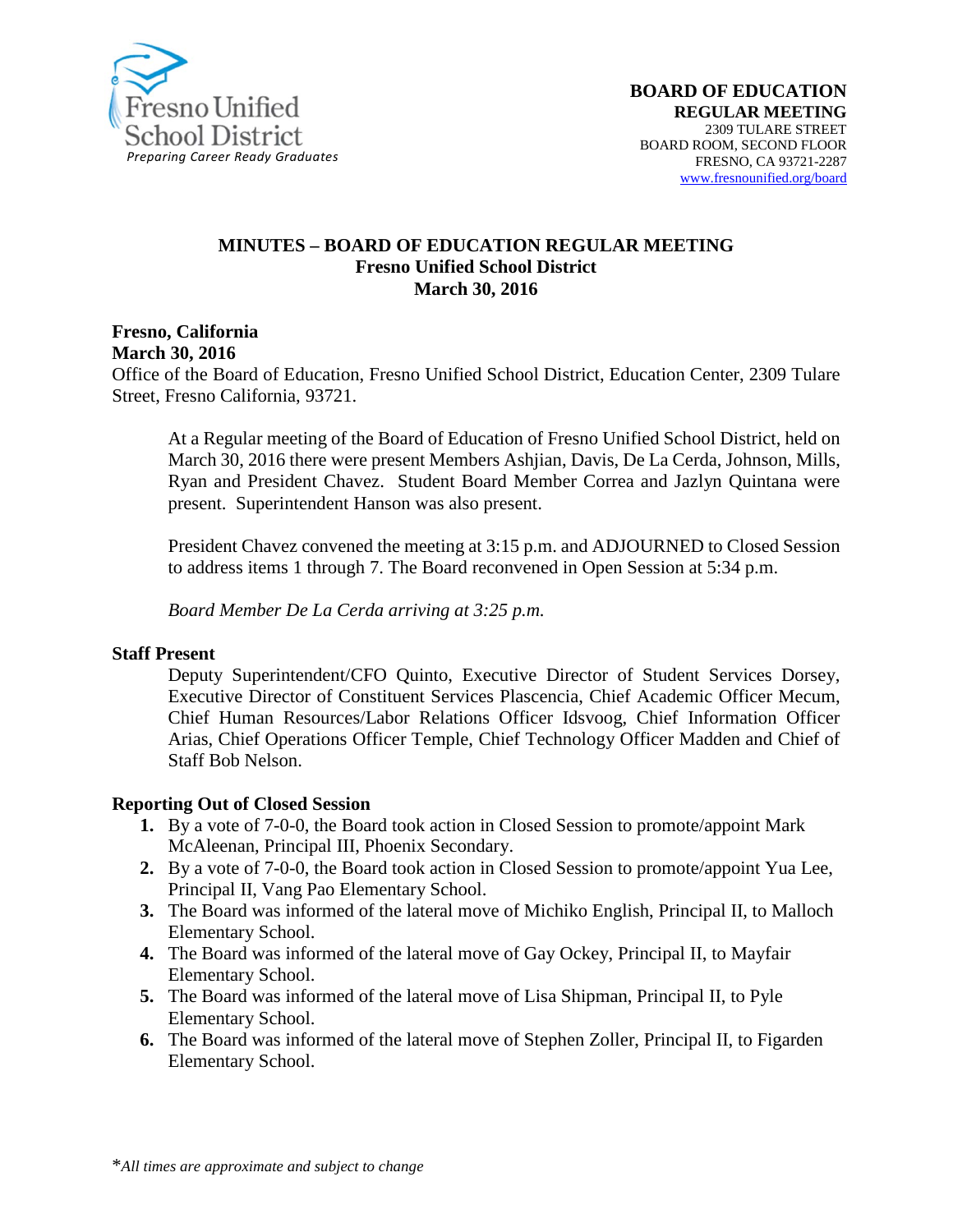

#### **MINUTES – BOARD OF EDUCATION REGULAR MEETING Fresno Unified School District March 30, 2016**

**Fresno, California**

**March 30, 2016**

Office of the Board of Education, Fresno Unified School District, Education Center, 2309 Tulare Street, Fresno California, 93721.

At a Regular meeting of the Board of Education of Fresno Unified School District, held on March 30, 2016 there were present Members Ashjian, Davis, De La Cerda, Johnson, Mills, Ryan and President Chavez. Student Board Member Correa and Jazlyn Quintana were present. Superintendent Hanson was also present.

President Chavez convened the meeting at 3:15 p.m. and ADJOURNED to Closed Session to address items 1 through 7. The Board reconvened in Open Session at 5:34 p.m.

*Board Member De La Cerda arriving at 3:25 p.m.*

#### **Staff Present**

Deputy Superintendent/CFO Quinto, Executive Director of Student Services Dorsey, Executive Director of Constituent Services Plascencia, Chief Academic Officer Mecum, Chief Human Resources/Labor Relations Officer Idsvoog, Chief Information Officer Arias, Chief Operations Officer Temple, Chief Technology Officer Madden and Chief of Staff Bob Nelson.

#### **Reporting Out of Closed Session**

- **1.** By a vote of 7-0-0, the Board took action in Closed Session to promote/appoint Mark McAleenan, Principal III, Phoenix Secondary.
- **2.** By a vote of 7-0-0, the Board took action in Closed Session to promote/appoint Yua Lee, Principal II, Vang Pao Elementary School.
- **3.** The Board was informed of the lateral move of Michiko English, Principal II, to Malloch Elementary School.
- **4.** The Board was informed of the lateral move of Gay Ockey, Principal II, to Mayfair Elementary School.
- **5.** The Board was informed of the lateral move of Lisa Shipman, Principal II, to Pyle Elementary School.
- **6.** The Board was informed of the lateral move of Stephen Zoller, Principal II, to Figarden Elementary School.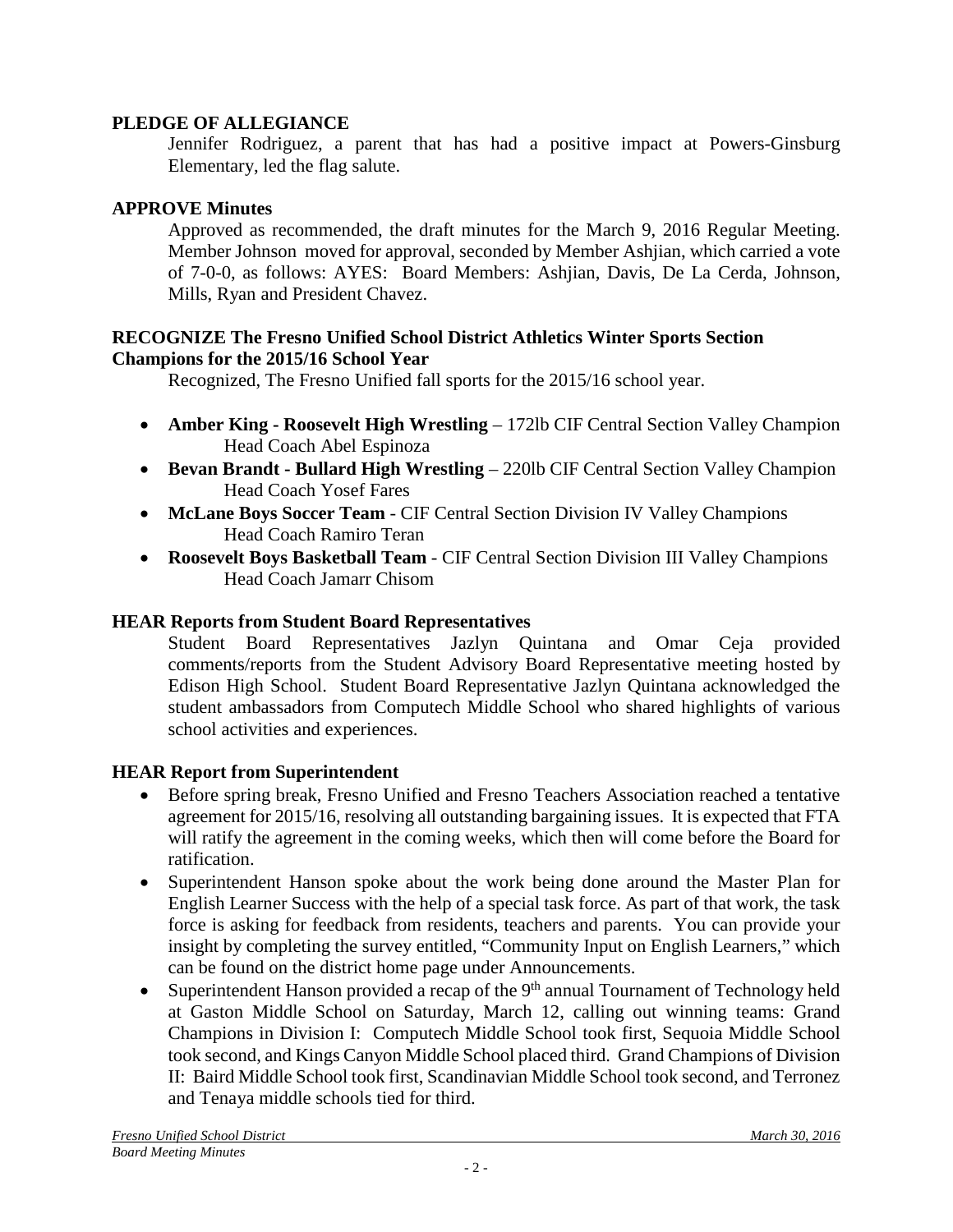### **PLEDGE OF ALLEGIANCE**

Jennifer Rodriguez, a parent that has had a positive impact at Powers-Ginsburg Elementary, led the flag salute.

### **APPROVE Minutes**

Approved as recommended, the draft minutes for the March 9, 2016 Regular Meeting. Member Johnson moved for approval, seconded by Member Ashjian, which carried a vote of 7-0-0, as follows: AYES: Board Members: Ashjian, Davis, De La Cerda, Johnson, Mills, Ryan and President Chavez.

#### **RECOGNIZE The Fresno Unified School District Athletics Winter Sports Section Champions for the 2015/16 School Year**

Recognized, The Fresno Unified fall sports for the 2015/16 school year.

- **Amber King Roosevelt High Wrestling** 172lb CIF Central Section Valley Champion Head Coach Abel Espinoza
- **Bevan Brandt - Bullard High Wrestling** 220lb CIF Central Section Valley Champion Head Coach Yosef Fares
- **McLane Boys Soccer Team** CIF Central Section Division IV Valley Champions Head Coach Ramiro Teran
- **Roosevelt Boys Basketball Team** CIF Central Section Division III Valley Champions Head Coach Jamarr Chisom

# **HEAR Reports from Student Board Representatives**

Student Board Representatives Jazlyn Quintana and Omar Ceja provided comments/reports from the Student Advisory Board Representative meeting hosted by Edison High School. Student Board Representative Jazlyn Quintana acknowledged the student ambassadors from Computech Middle School who shared highlights of various school activities and experiences.

# **HEAR Report from Superintendent**

- Before spring break, Fresno Unified and Fresno Teachers Association reached a tentative agreement for 2015/16, resolving all outstanding bargaining issues. It is expected that FTA will ratify the agreement in the coming weeks, which then will come before the Board for ratification.
- Superintendent Hanson spoke about the work being done around the Master Plan for English Learner Success with the help of a special task force. As part of that work, the task force is asking for feedback from residents, teachers and parents. You can provide your insight by completing the survey entitled, "Community Input on English Learners," which can be found on the district home page under [Announcements.](http://www.fresnounified.org/news/announcements/Pages/Fresno-Unified-Seeks-Community-Input-on-English-Learner-Success.aspx)
- Superintendent Hanson provided a recap of the  $9<sup>th</sup>$  annual Tournament of Technology held at Gaston Middle School on Saturday, March 12, calling out winning teams: Grand Champions in Division I: Computech Middle School took first, Sequoia Middle School took second, and Kings Canyon Middle School placed third. Grand Champions of Division II: Baird Middle School took first, Scandinavian Middle School took second, and Terronez and Tenaya middle schools tied for third.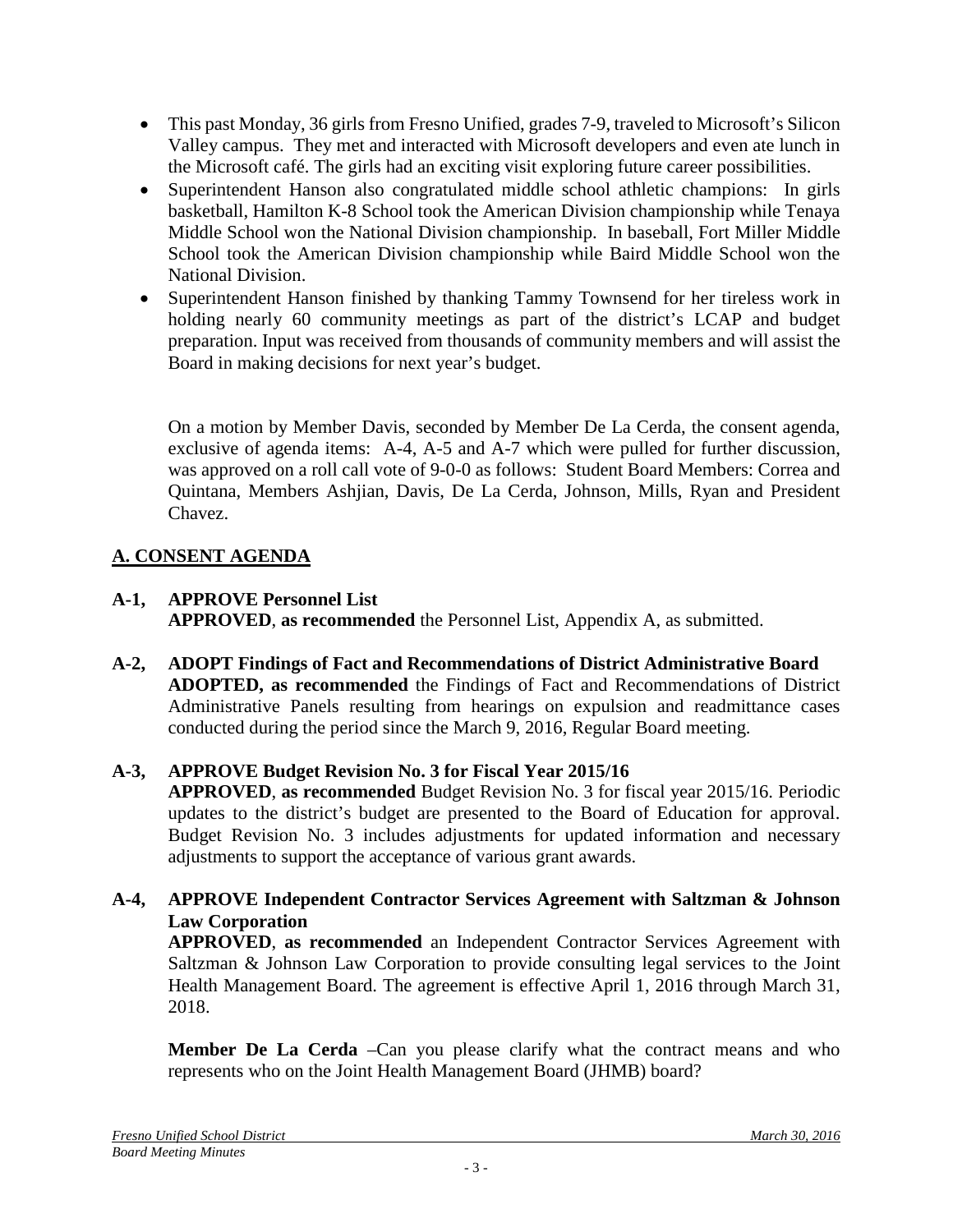- This past Monday, 36 girls from Fresno Unified, grades 7-9, traveled to Microsoft's Silicon Valley campus. They met and interacted with Microsoft developers and even ate lunch in the Microsoft café. The girls had an exciting visit exploring future career possibilities.
- Superintendent Hanson also congratulated middle school athletic champions: In girls basketball, Hamilton K-8 School took the American Division championship while Tenaya Middle School won the National Division championship. In baseball, Fort Miller Middle School took the American Division championship while Baird Middle School won the National Division.
- Superintendent Hanson finished by thanking Tammy Townsend for her tireless work in holding nearly 60 community meetings as part of the district's LCAP and budget preparation. Input was received from thousands of community members and will assist the Board in making decisions for next year's budget.

On a motion by Member Davis, seconded by Member De La Cerda, the consent agenda, exclusive of agenda items: A-4, A-5 and A-7 which were pulled for further discussion, was approved on a roll call vote of 9-0-0 as follows: Student Board Members: Correa and Quintana, Members Ashjian, Davis, De La Cerda, Johnson, Mills, Ryan and President Chavez.

# **A. CONSENT AGENDA**

- **A-1, APPROVE Personnel List APPROVED**, **as recommended** the Personnel List, Appendix A, as submitted.
- **A-2, ADOPT Findings of Fact and Recommendations of District Administrative Board ADOPTED, as recommended** the Findings of Fact and Recommendations of District Administrative Panels resulting from hearings on expulsion and readmittance cases conducted during the period since the March 9, 2016, Regular Board meeting.

# **A-3, APPROVE Budget Revision No. 3 for Fiscal Year 2015/16**

**APPROVED**, **as recommended** Budget Revision No. 3 for fiscal year 2015/16. Periodic updates to the district's budget are presented to the Board of Education for approval. Budget Revision No. 3 includes adjustments for updated information and necessary adjustments to support the acceptance of various grant awards.

**A-4, APPROVE Independent Contractor Services Agreement with Saltzman & Johnson Law Corporation**

**APPROVED**, **as recommended** an Independent Contractor Services Agreement with Saltzman & Johnson Law Corporation to provide consulting legal services to the Joint Health Management Board. The agreement is effective April 1, 2016 through March 31, 2018.

**Member De La Cerda** –Can you please clarify what the contract means and who represents who on the Joint Health Management Board (JHMB) board?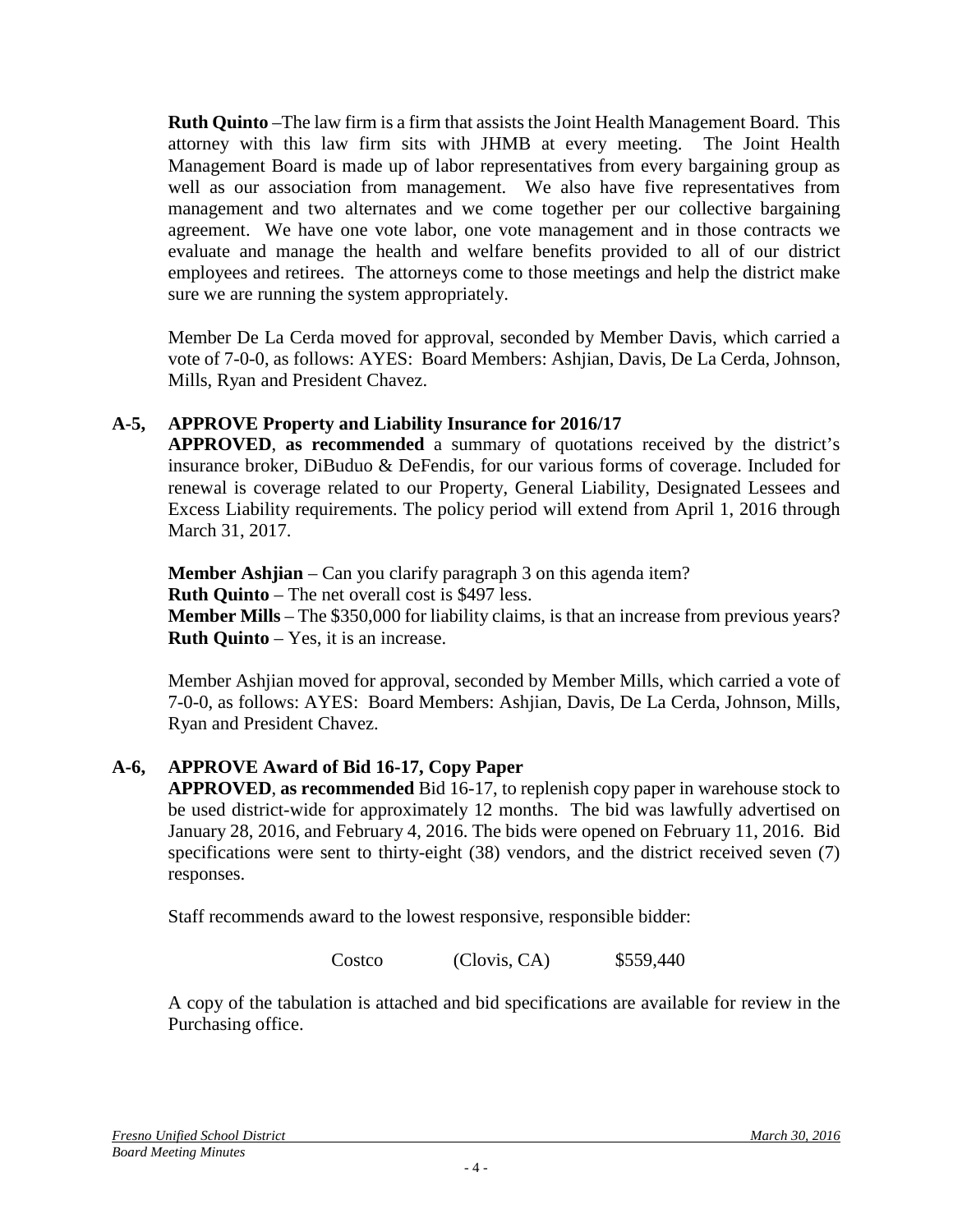**Ruth Quinto** –The law firm is a firm that assists the Joint Health Management Board. This attorney with this law firm sits with JHMB at every meeting. The Joint Health Management Board is made up of labor representatives from every bargaining group as well as our association from management. We also have five representatives from management and two alternates and we come together per our collective bargaining agreement. We have one vote labor, one vote management and in those contracts we evaluate and manage the health and welfare benefits provided to all of our district employees and retirees. The attorneys come to those meetings and help the district make sure we are running the system appropriately.

Member De La Cerda moved for approval, seconded by Member Davis, which carried a vote of 7-0-0, as follows: AYES: Board Members: Ashjian, Davis, De La Cerda, Johnson, Mills, Ryan and President Chavez.

# **A-5, APPROVE Property and Liability Insurance for 2016/17**

**APPROVED**, **as recommended** a summary of quotations received by the district's insurance broker, DiBuduo & DeFendis, for our various forms of coverage. Included for renewal is coverage related to our Property, General Liability, Designated Lessees and Excess Liability requirements. The policy period will extend from April 1, 2016 through March 31, 2017.

**Member Ashijan** – Can you clarify paragraph 3 on this agenda item? **Ruth Quinto** – The net overall cost is \$497 less.

**Member Mills** – The \$350,000 for liability claims, is that an increase from previous years? **Ruth Quinto** – Yes, it is an increase.

Member Ashjian moved for approval, seconded by Member Mills, which carried a vote of 7-0-0, as follows: AYES: Board Members: Ashjian, Davis, De La Cerda, Johnson, Mills, Ryan and President Chavez.

# **A-6, APPROVE Award of Bid 16-17, Copy Paper**

**APPROVED**, **as recommended** Bid 16-17, to replenish copy paper in warehouse stock to be used district-wide for approximately 12 months. The bid was lawfully advertised on January 28, 2016, and February 4, 2016. The bids were opened on February 11, 2016. Bid specifications were sent to thirty-eight (38) vendors, and the district received seven (7) responses.

Staff recommends award to the lowest responsive, responsible bidder:

Costco (Clovis, CA) \$559,440

A copy of the tabulation is attached and bid specifications are available for review in the Purchasing office.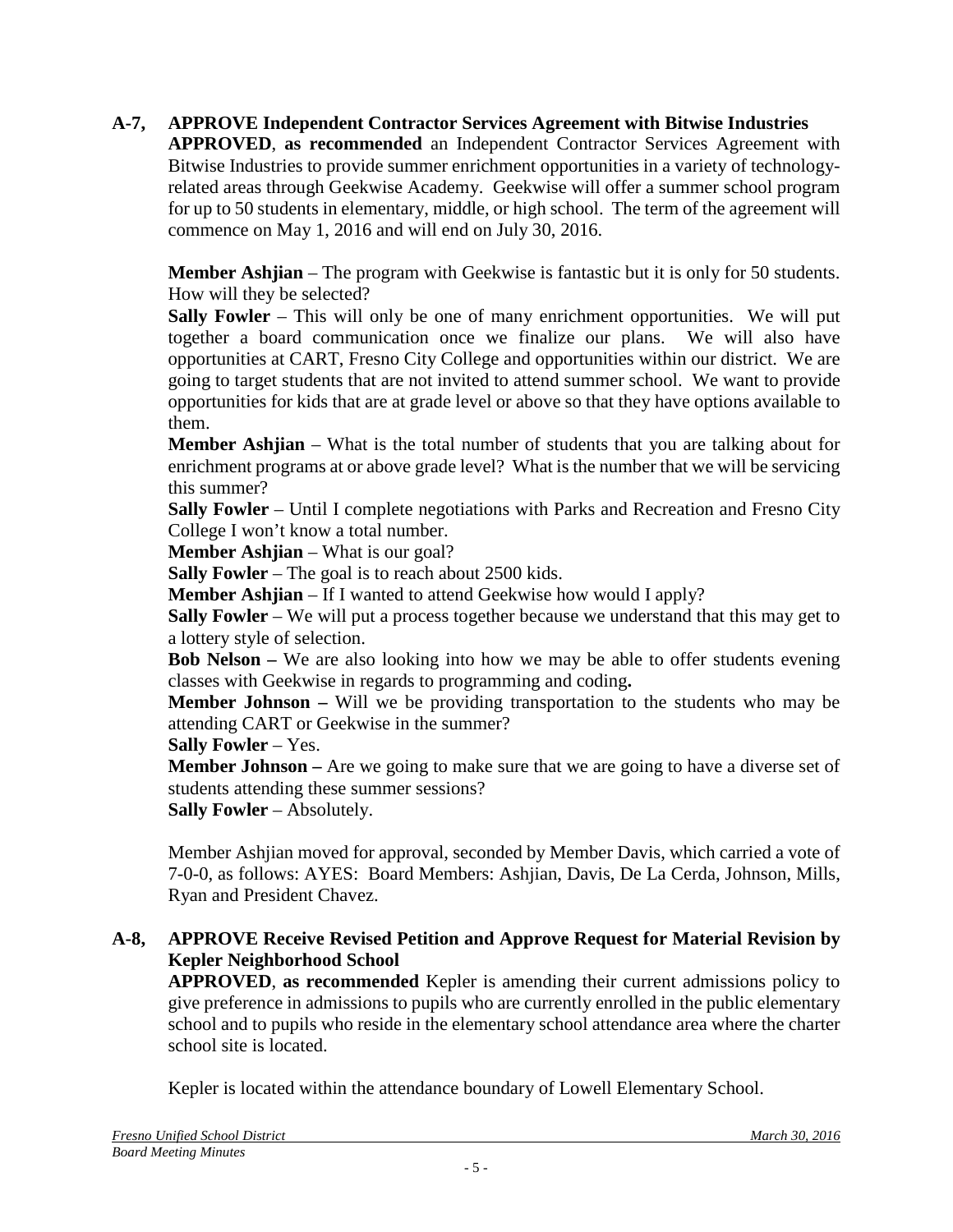# **A-7, APPROVE Independent Contractor Services Agreement with Bitwise Industries**

**APPROVED**, **as recommended** an Independent Contractor Services Agreement with Bitwise Industries to provide summer enrichment opportunities in a variety of technologyrelated areas through Geekwise Academy. Geekwise will offer a summer school program for up to 50 students in elementary, middle, or high school. The term of the agreement will commence on May 1, 2016 and will end on July 30, 2016.

**Member Ashjian** – The program with Geekwise is fantastic but it is only for 50 students. How will they be selected?

**Sally Fowler** – This will only be one of many enrichment opportunities. We will put together a board communication once we finalize our plans. We will also have opportunities at CART, Fresno City College and opportunities within our district. We are going to target students that are not invited to attend summer school. We want to provide opportunities for kids that are at grade level or above so that they have options available to them.

**Member Ashjian** – What is the total number of students that you are talking about for enrichment programs at or above grade level? What is the number that we will be servicing this summer?

**Sally Fowler** – Until I complete negotiations with Parks and Recreation and Fresno City College I won't know a total number.

**Member Ashjian** – What is our goal?

**Sally Fowler** – The goal is to reach about 2500 kids.

**Member Ashijan** – If I wanted to attend Geekwise how would I apply?

**Sally Fowler** – We will put a process together because we understand that this may get to a lottery style of selection.

**Bob Nelson –** We are also looking into how we may be able to offer students evening classes with Geekwise in regards to programming and coding**.**

**Member Johnson –** Will we be providing transportation to the students who may be attending CART or Geekwise in the summer?

**Sally Fowler** – Yes.

**Member Johnson** – Are we going to make sure that we are going to have a diverse set of students attending these summer sessions?

**Sally Fowler** – Absolutely.

Member Ashjian moved for approval, seconded by Member Davis, which carried a vote of 7-0-0, as follows: AYES: Board Members: Ashjian, Davis, De La Cerda, Johnson, Mills, Ryan and President Chavez.

#### **A-8, APPROVE Receive Revised Petition and Approve Request for Material Revision by Kepler Neighborhood School**

**APPROVED**, **as recommended** Kepler is amending their current admissions policy to give preference in admissions to pupils who are currently enrolled in the public elementary school and to pupils who reside in the elementary school attendance area where the charter school site is located.

Kepler is located within the attendance boundary of Lowell Elementary School.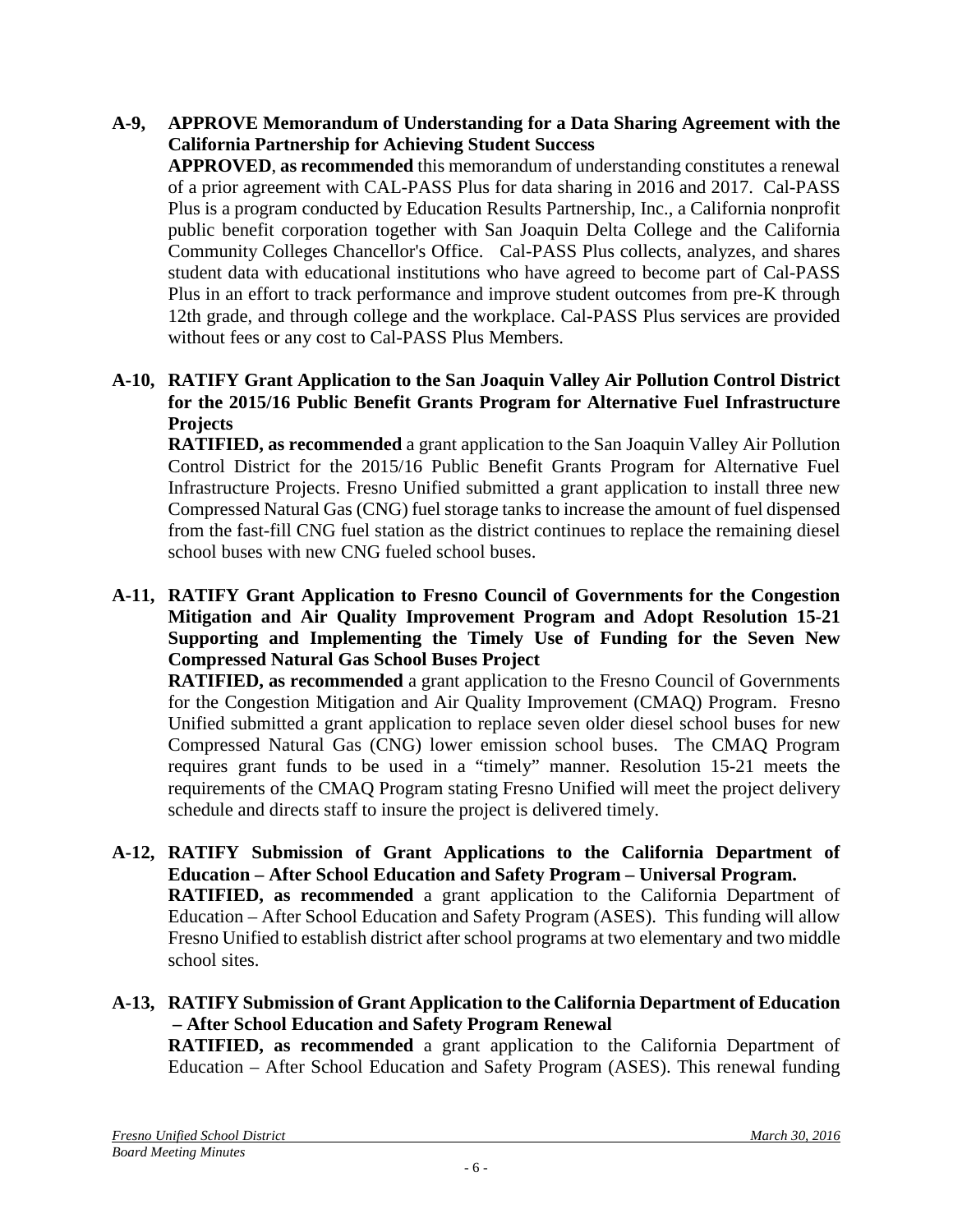**A-9, APPROVE Memorandum of Understanding for a Data Sharing Agreement with the California Partnership for Achieving Student Success** 

**APPROVED**, **as recommended** this memorandum of understanding constitutes a renewal of a prior agreement with CAL-PASS Plus for data sharing in 2016 and 2017. Cal-PASS Plus is a program conducted by Education Results Partnership, Inc., a California nonprofit public benefit corporation together with San Joaquin Delta College and the California Community Colleges Chancellor's Office. Cal-PASS Plus collects, analyzes, and shares student data with educational institutions who have agreed to become part of Cal-PASS Plus in an effort to track performance and improve student outcomes from pre-K through 12th grade, and through college and the workplace. Cal-PASS Plus services are provided without fees or any cost to Cal-PASS Plus Members.

**A-10, RATIFY Grant Application to the San Joaquin Valley Air Pollution Control District for the 2015/16 Public Benefit Grants Program for Alternative Fuel Infrastructure Projects**

**RATIFIED, as recommended** a grant application to the San Joaquin Valley Air Pollution Control District for the 2015/16 Public Benefit Grants Program for Alternative Fuel Infrastructure Projects. Fresno Unified submitted a grant application to install three new Compressed Natural Gas (CNG) fuel storage tanks to increase the amount of fuel dispensed from the fast-fill CNG fuel station as the district continues to replace the remaining diesel school buses with new CNG fueled school buses.

**A-11, RATIFY Grant Application to Fresno Council of Governments for the Congestion Mitigation and Air Quality Improvement Program and Adopt Resolution 15-21 Supporting and Implementing the Timely Use of Funding for the Seven New Compressed Natural Gas School Buses Project**

**RATIFIED, as recommended** a grant application to the Fresno Council of Governments for the Congestion Mitigation and Air Quality Improvement (CMAQ) Program. Fresno Unified submitted a grant application to replace seven older diesel school buses for new Compressed Natural Gas (CNG) lower emission school buses. The CMAQ Program requires grant funds to be used in a "timely" manner. Resolution 15-21 meets the requirements of the CMAQ Program stating Fresno Unified will meet the project delivery schedule and directs staff to insure the project is delivered timely.

- **A-12, RATIFY Submission of Grant Applications to the California Department of Education – After School Education and Safety Program – Universal Program. RATIFIED, as recommended** a grant application to the California Department of Education – After School Education and Safety Program (ASES). This funding will allow Fresno Unified to establish district after school programs at two elementary and two middle school sites.
- **A-13, RATIFY Submission of Grant Application to the California Department of Education – After School Education and Safety Program Renewal RATIFIED, as recommended** a grant application to the California Department of

Education – After School Education and Safety Program (ASES). This renewal funding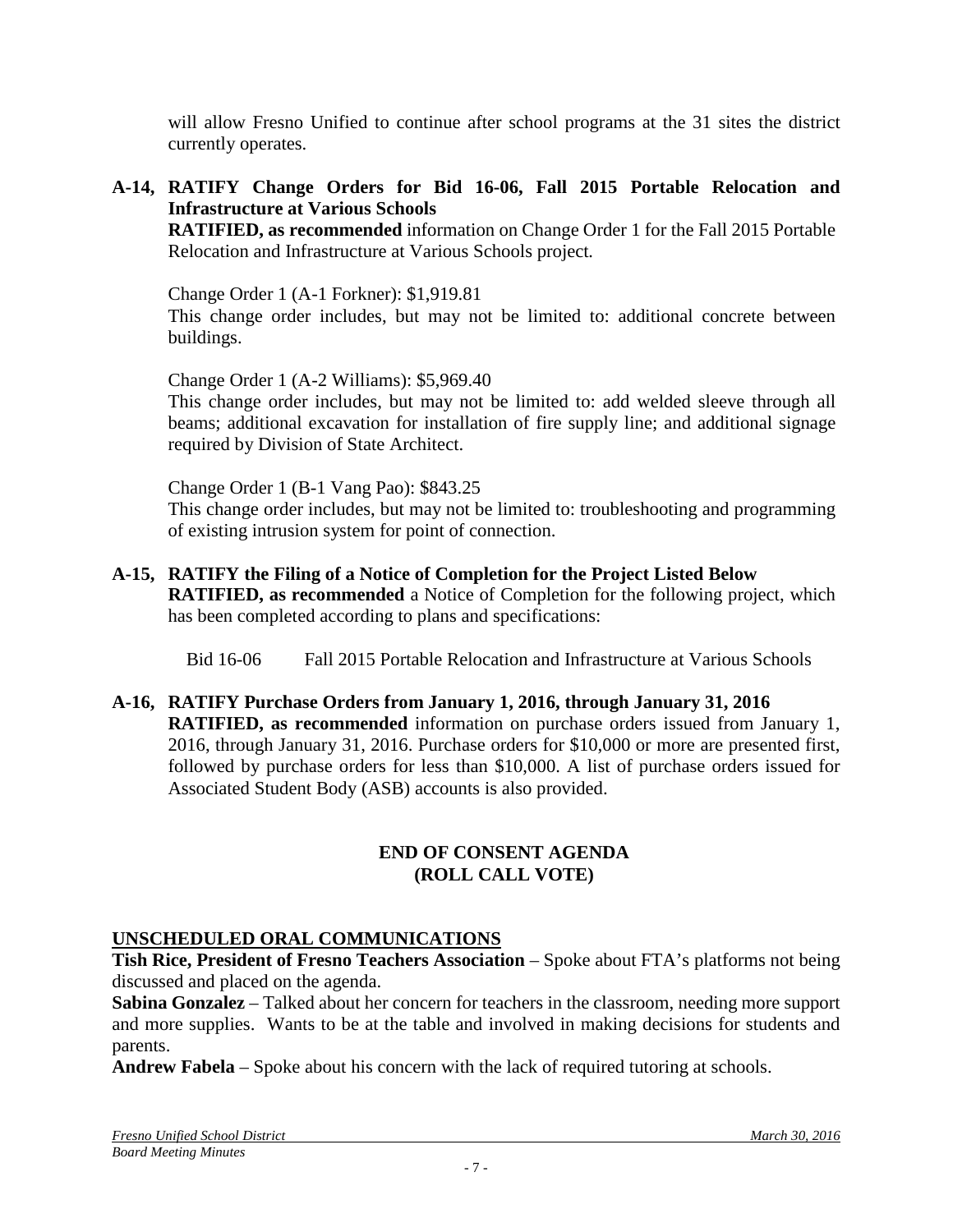will allow Fresno Unified to continue after school programs at the 31 sites the district currently operates.

# **A-14, RATIFY Change Orders for Bid 16-06, Fall 2015 Portable Relocation and Infrastructure at Various Schools**

**RATIFIED, as recommended** information on Change Order 1 for the Fall 2015 Portable Relocation and Infrastructure at Various Schools project*.*

Change Order 1 (A-1 Forkner): \$1,919.81

This change order includes, but may not be limited to: additional concrete between buildings.

Change Order 1 (A-2 Williams): \$5,969.40

This change order includes, but may not be limited to: add welded sleeve through all beams; additional excavation for installation of fire supply line; and additional signage required by Division of State Architect.

Change Order 1 (B-1 Vang Pao): \$843.25

This change order includes, but may not be limited to: troubleshooting and programming of existing intrusion system for point of connection.

**A-15, RATIFY the Filing of a Notice of Completion for the Project Listed Below RATIFIED, as recommended** a Notice of Completion for the following project, which has been completed according to plans and specifications:

Bid 16-06 Fall 2015 Portable Relocation and Infrastructure at Various Schools

**A-16, RATIFY Purchase Orders from January 1, 2016, through January 31, 2016 RATIFIED, as recommended** information on purchase orders issued from January 1, 2016, through January 31, 2016. Purchase orders for \$10,000 or more are presented first, followed by purchase orders for less than \$10,000. A list of purchase orders issued for Associated Student Body (ASB) accounts is also provided.

#### **END OF CONSENT AGENDA (ROLL CALL VOTE)**

#### **UNSCHEDULED ORAL COMMUNICATIONS**

**Tish Rice, President of Fresno Teachers Association** – Spoke about FTA's platforms not being discussed and placed on the agenda.

**Sabina Gonzalez** – Talked about her concern for teachers in the classroom, needing more support and more supplies. Wants to be at the table and involved in making decisions for students and parents.

**Andrew Fabela** – Spoke about his concern with the lack of required tutoring at schools.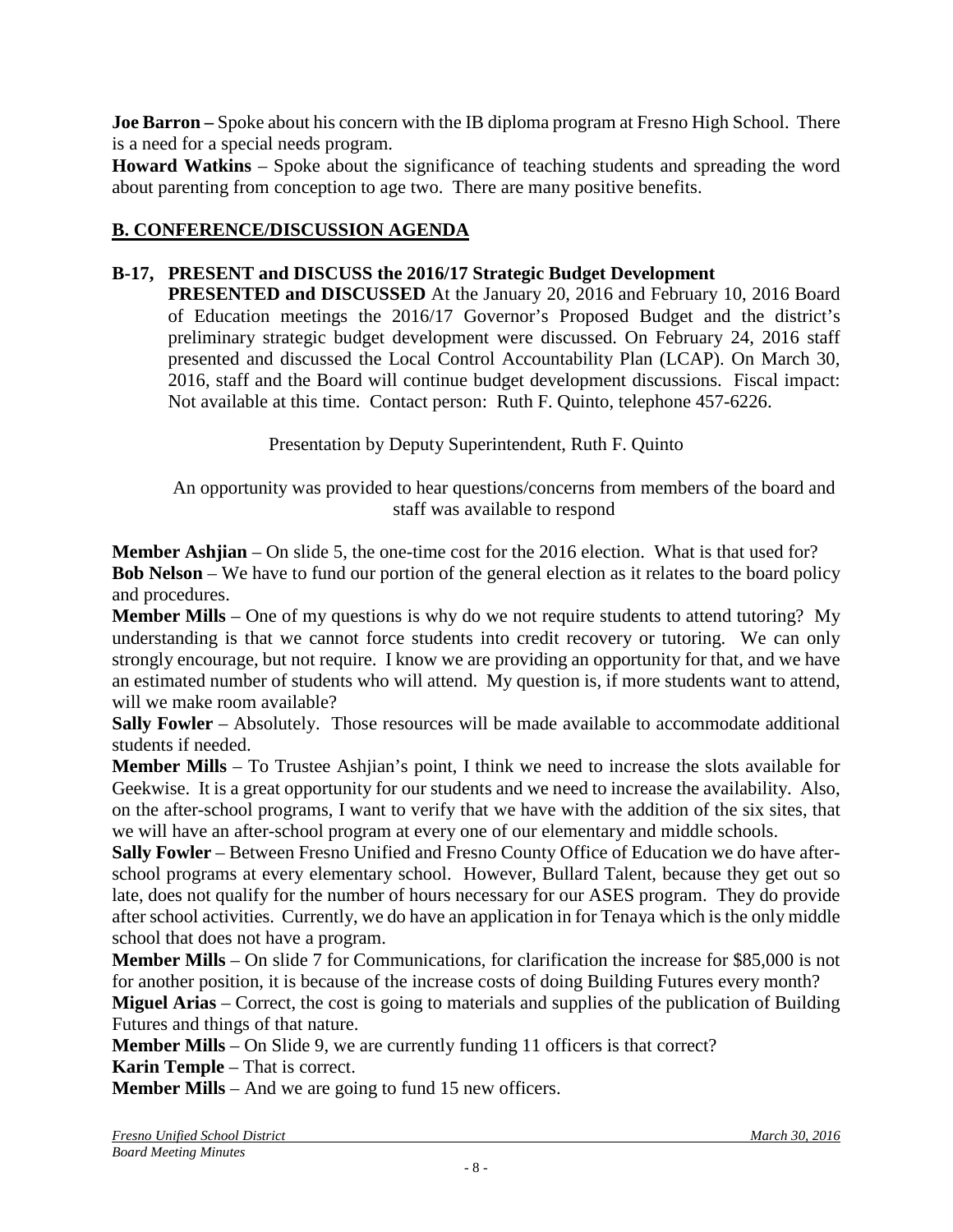**Joe Barron –** Spoke about his concern with the IB diploma program at Fresno High School. There is a need for a special needs program.

**Howard Watkins** – Spoke about the significance of teaching students and spreading the word about parenting from conception to age two. There are many positive benefits.

# **B. CONFERENCE/DISCUSSION AGENDA**

# **B-17, PRESENT and DISCUSS the 2016/17 Strategic Budget Development**

**PRESENTED and DISCUSSED** At the January 20, 2016 and February 10, 2016 Board of Education meetings the 2016/17 Governor's Proposed Budget and the district's preliminary strategic budget development were discussed. On February 24, 2016 staff presented and discussed the Local Control Accountability Plan (LCAP). On March 30, 2016, staff and the Board will continue budget development discussions. Fiscal impact: Not available at this time. Contact person: Ruth F. Quinto, telephone 457-6226.

Presentation by Deputy Superintendent, Ruth F. Quinto

An opportunity was provided to hear questions/concerns from members of the board and staff was available to respond

**Member Ashjian** – On slide 5, the one-time cost for the 2016 election. What is that used for? **Bob Nelson** – We have to fund our portion of the general election as it relates to the board policy and procedures.

**Member Mills** – One of my questions is why do we not require students to attend tutoring? My understanding is that we cannot force students into credit recovery or tutoring. We can only strongly encourage, but not require. I know we are providing an opportunity for that, and we have an estimated number of students who will attend. My question is, if more students want to attend, will we make room available?

**Sally Fowler** – Absolutely. Those resources will be made available to accommodate additional students if needed.

**Member Mills** – To Trustee Ashjian's point, I think we need to increase the slots available for Geekwise. It is a great opportunity for our students and we need to increase the availability. Also, on the after-school programs, I want to verify that we have with the addition of the six sites, that we will have an after-school program at every one of our elementary and middle schools.

**Sally Fowler** – Between Fresno Unified and Fresno County Office of Education we do have afterschool programs at every elementary school. However, Bullard Talent, because they get out so late, does not qualify for the number of hours necessary for our ASES program. They do provide after school activities. Currently, we do have an application in for Tenaya which is the only middle school that does not have a program.

**Member Mills** – On slide 7 for Communications, for clarification the increase for \$85,000 is not for another position, it is because of the increase costs of doing Building Futures every month?

**Miguel Arias** – Correct, the cost is going to materials and supplies of the publication of Building Futures and things of that nature.

**Member Mills** – On Slide 9, we are currently funding 11 officers is that correct?

**Karin Temple** – That is correct.

**Member Mills** – And we are going to fund 15 new officers.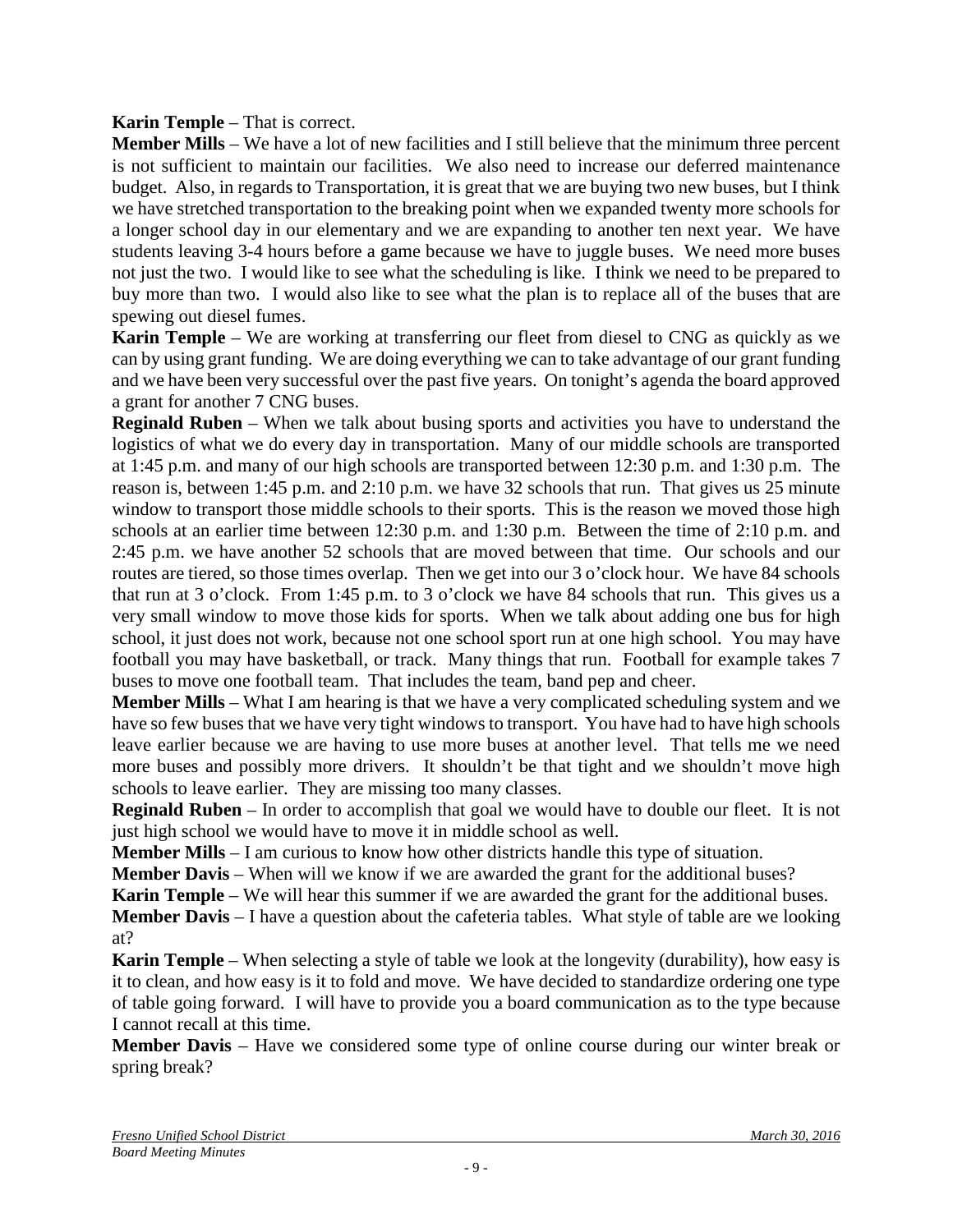#### **Karin Temple** – That is correct.

**Member Mills** – We have a lot of new facilities and I still believe that the minimum three percent is not sufficient to maintain our facilities. We also need to increase our deferred maintenance budget. Also, in regards to Transportation, it is great that we are buying two new buses, but I think we have stretched transportation to the breaking point when we expanded twenty more schools for a longer school day in our elementary and we are expanding to another ten next year. We have students leaving 3-4 hours before a game because we have to juggle buses. We need more buses not just the two. I would like to see what the scheduling is like. I think we need to be prepared to buy more than two. I would also like to see what the plan is to replace all of the buses that are spewing out diesel fumes.

**Karin Temple** – We are working at transferring our fleet from diesel to CNG as quickly as we can by using grant funding. We are doing everything we can to take advantage of our grant funding and we have been very successful over the past five years. On tonight's agenda the board approved a grant for another 7 CNG buses.

**Reginald Ruben** – When we talk about busing sports and activities you have to understand the logistics of what we do every day in transportation. Many of our middle schools are transported at 1:45 p.m. and many of our high schools are transported between 12:30 p.m. and 1:30 p.m. The reason is, between 1:45 p.m. and 2:10 p.m. we have 32 schools that run. That gives us 25 minute window to transport those middle schools to their sports. This is the reason we moved those high schools at an earlier time between 12:30 p.m. and 1:30 p.m. Between the time of 2:10 p.m. and 2:45 p.m. we have another 52 schools that are moved between that time. Our schools and our routes are tiered, so those times overlap. Then we get into our 3 o'clock hour. We have 84 schools that run at 3 o'clock. From 1:45 p.m. to 3 o'clock we have 84 schools that run. This gives us a very small window to move those kids for sports. When we talk about adding one bus for high school, it just does not work, because not one school sport run at one high school. You may have football you may have basketball, or track. Many things that run. Football for example takes 7 buses to move one football team. That includes the team, band pep and cheer.

**Member Mills** – What I am hearing is that we have a very complicated scheduling system and we have so few buses that we have very tight windows to transport. You have had to have high schools leave earlier because we are having to use more buses at another level. That tells me we need more buses and possibly more drivers. It shouldn't be that tight and we shouldn't move high schools to leave earlier. They are missing too many classes.

**Reginald Ruben** – In order to accomplish that goal we would have to double our fleet. It is not just high school we would have to move it in middle school as well.

**Member Mills** – I am curious to know how other districts handle this type of situation.

**Member Davis** – When will we know if we are awarded the grant for the additional buses?

**Karin Temple** – We will hear this summer if we are awarded the grant for the additional buses.

**Member Davis** – I have a question about the cafeteria tables. What style of table are we looking at?

**Karin Temple** – When selecting a style of table we look at the longevity (durability), how easy is it to clean, and how easy is it to fold and move. We have decided to standardize ordering one type of table going forward. I will have to provide you a board communication as to the type because I cannot recall at this time.

**Member Davis** – Have we considered some type of online course during our winter break or spring break?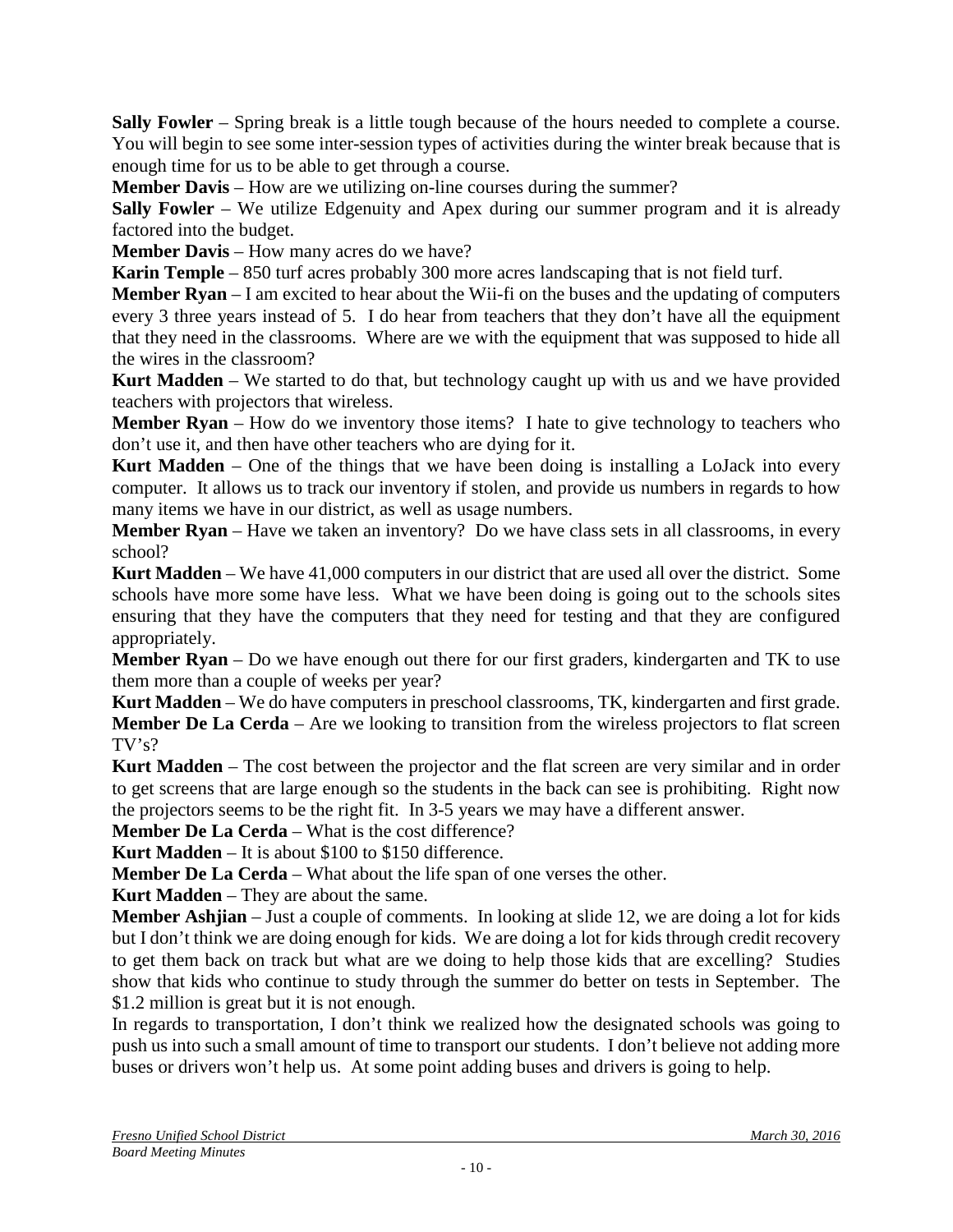**Sally Fowler** – Spring break is a little tough because of the hours needed to complete a course. You will begin to see some inter-session types of activities during the winter break because that is enough time for us to be able to get through a course.

**Member Davis** – How are we utilizing on-line courses during the summer?

**Sally Fowler** – We utilize Edgenuity and Apex during our summer program and it is already factored into the budget.

**Member Davis** – How many acres do we have?

**Karin Temple** – 850 turf acres probably 300 more acres landscaping that is not field turf.

**Member Ryan** – I am excited to hear about the Wii-fi on the buses and the updating of computers every 3 three years instead of 5. I do hear from teachers that they don't have all the equipment that they need in the classrooms. Where are we with the equipment that was supposed to hide all the wires in the classroom?

**Kurt Madden** – We started to do that, but technology caught up with us and we have provided teachers with projectors that wireless.

**Member Ryan** – How do we inventory those items? I hate to give technology to teachers who don't use it, and then have other teachers who are dying for it.

**Kurt Madden** – One of the things that we have been doing is installing a LoJack into every computer. It allows us to track our inventory if stolen, and provide us numbers in regards to how many items we have in our district, as well as usage numbers.

**Member Ryan** – Have we taken an inventory? Do we have class sets in all classrooms, in every school?

**Kurt Madden** – We have 41,000 computers in our district that are used all over the district. Some schools have more some have less. What we have been doing is going out to the schools sites ensuring that they have the computers that they need for testing and that they are configured appropriately.

**Member Ryan** – Do we have enough out there for our first graders, kindergarten and TK to use them more than a couple of weeks per year?

**Kurt Madden** – We do have computers in preschool classrooms, TK, kindergarten and first grade. **Member De La Cerda** – Are we looking to transition from the wireless projectors to flat screen TV's?

**Kurt Madden** – The cost between the projector and the flat screen are very similar and in order to get screens that are large enough so the students in the back can see is prohibiting. Right now the projectors seems to be the right fit. In 3-5 years we may have a different answer.

**Member De La Cerda** – What is the cost difference?

**Kurt Madden** – It is about \$100 to \$150 difference.

**Member De La Cerda** – What about the life span of one verses the other.

**Kurt Madden** – They are about the same.

**Member Ashjian** – Just a couple of comments. In looking at slide 12, we are doing a lot for kids but I don't think we are doing enough for kids. We are doing a lot for kids through credit recovery to get them back on track but what are we doing to help those kids that are excelling? Studies show that kids who continue to study through the summer do better on tests in September. The \$1.2 million is great but it is not enough.

In regards to transportation, I don't think we realized how the designated schools was going to push us into such a small amount of time to transport our students. I don't believe not adding more buses or drivers won't help us. At some point adding buses and drivers is going to help.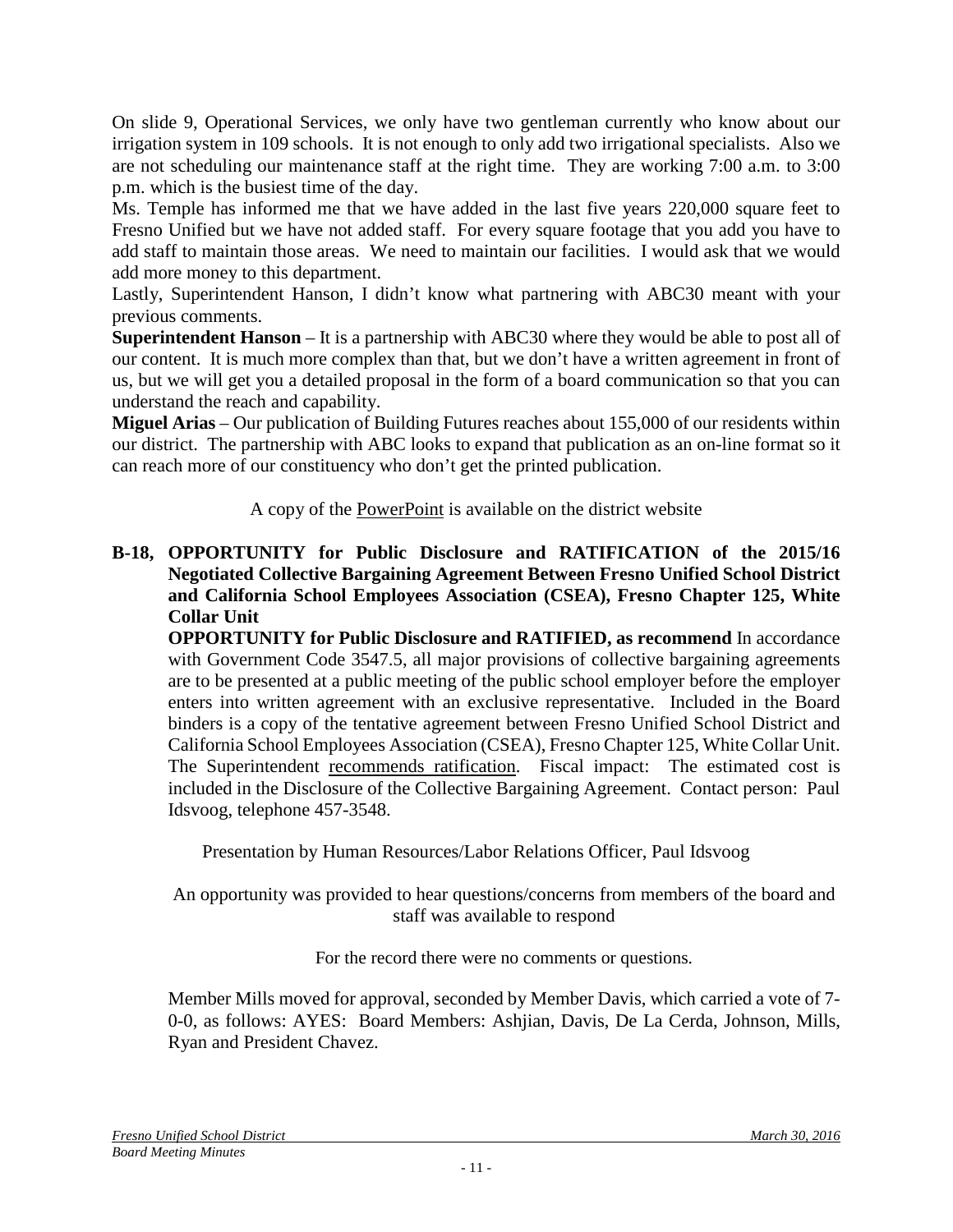On slide 9, Operational Services, we only have two gentleman currently who know about our irrigation system in 109 schools. It is not enough to only add two irrigational specialists. Also we are not scheduling our maintenance staff at the right time. They are working 7:00 a.m. to 3:00 p.m. which is the busiest time of the day.

Ms. Temple has informed me that we have added in the last five years 220,000 square feet to Fresno Unified but we have not added staff. For every square footage that you add you have to add staff to maintain those areas. We need to maintain our facilities. I would ask that we would add more money to this department.

Lastly, Superintendent Hanson, I didn't know what partnering with ABC30 meant with your previous comments.

**Superintendent Hanson** – It is a partnership with ABC30 where they would be able to post all of our content. It is much more complex than that, but we don't have a written agreement in front of us, but we will get you a detailed proposal in the form of a board communication so that you can understand the reach and capability.

**Miguel Arias** – Our publication of Building Futures reaches about 155,000 of our residents within our district. The partnership with ABC looks to expand that publication as an on-line format so it can reach more of our constituency who don't get the printed publication.

A copy of the PowerPoint is available on the district website

#### **B-18, OPPORTUNITY for Public Disclosure and RATIFICATION of the 2015/16 Negotiated Collective Bargaining Agreement Between Fresno Unified School District and California School Employees Association (CSEA), Fresno Chapter 125, White Collar Unit**

**OPPORTUNITY for Public Disclosure and RATIFIED, as recommend** In accordance with Government Code 3547.5, all major provisions of collective bargaining agreements are to be presented at a public meeting of the public school employer before the employer enters into written agreement with an exclusive representative. Included in the Board binders is a copy of the tentative agreement between Fresno Unified School District and California School Employees Association (CSEA), Fresno Chapter 125, White Collar Unit. The Superintendent recommends ratification. Fiscal impact: The estimated cost is included in the Disclosure of the Collective Bargaining Agreement. Contact person: Paul Idsvoog, telephone 457-3548.

Presentation by Human Resources/Labor Relations Officer, Paul Idsvoog

#### An opportunity was provided to hear questions/concerns from members of the board and staff was available to respond

For the record there were no comments or questions.

Member Mills moved for approval, seconded by Member Davis, which carried a vote of 7- 0-0, as follows: AYES: Board Members: Ashjian, Davis, De La Cerda, Johnson, Mills, Ryan and President Chavez.